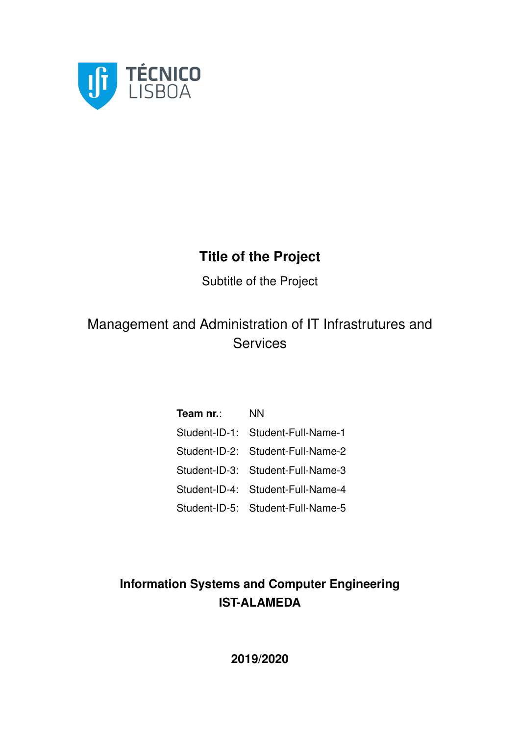

### **Title of the Project**

Subtitle of the Project

### Management and Administration of IT Infrastrutures and **Services**

| Team nr.: | <b>NN</b>                         |
|-----------|-----------------------------------|
|           | Student-ID-1: Student-Full-Name-1 |
|           | Student-ID-2: Student-Full-Name-2 |
|           | Student-ID-3: Student-Full-Name-3 |
|           | Student-ID-4: Student-Full-Name-4 |
|           | Student-ID-5: Student-Full-Name-5 |

### **Information Systems and Computer Engineering IST-ALAMEDA**

**2019/2020**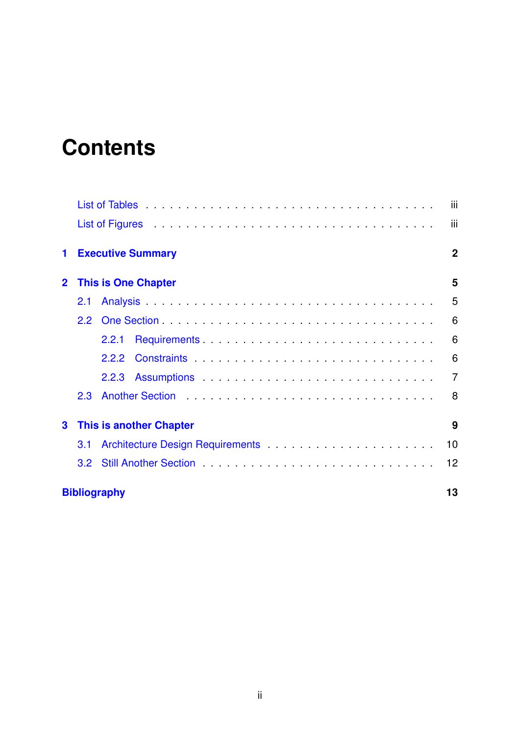# **Contents**

|                |                  |                                                                                                                | iii            |  |  |  |  |  |
|----------------|------------------|----------------------------------------------------------------------------------------------------------------|----------------|--|--|--|--|--|
|                |                  | List of Figures (Alberta Lands Lands Liberal Liberal Lands Liberal Liberal Liberal Liberal Liberal Liberal Lib | iii            |  |  |  |  |  |
| 1              |                  | <b>Executive Summary</b>                                                                                       | $\mathbf{2}$   |  |  |  |  |  |
| $\overline{2}$ |                  | <b>This is One Chapter</b>                                                                                     |                |  |  |  |  |  |
|                | 2.1              |                                                                                                                | 5              |  |  |  |  |  |
|                | $2.2^{\circ}$    |                                                                                                                | 6              |  |  |  |  |  |
|                |                  | 2.2.1                                                                                                          | 6              |  |  |  |  |  |
|                |                  | 2.2.2                                                                                                          | 6              |  |  |  |  |  |
|                |                  |                                                                                                                | $\overline{7}$ |  |  |  |  |  |
|                | 2.3              |                                                                                                                | 8              |  |  |  |  |  |
| 3              |                  | <b>This is another Chapter</b>                                                                                 | 9              |  |  |  |  |  |
|                | 3.1              |                                                                                                                | 10             |  |  |  |  |  |
|                | 3.2 <sub>2</sub> |                                                                                                                | 12             |  |  |  |  |  |
|                |                  | <b>Bibliography</b>                                                                                            | 13             |  |  |  |  |  |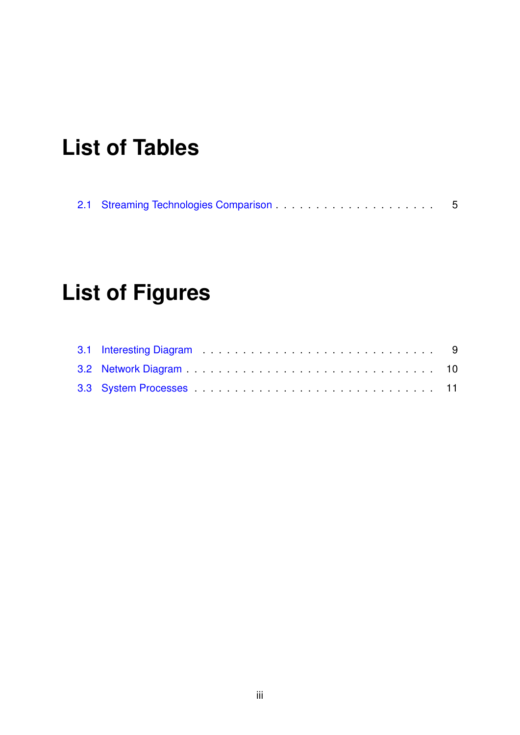# <span id="page-2-0"></span>**List of Tables**

<span id="page-2-1"></span>

# **List of Figures**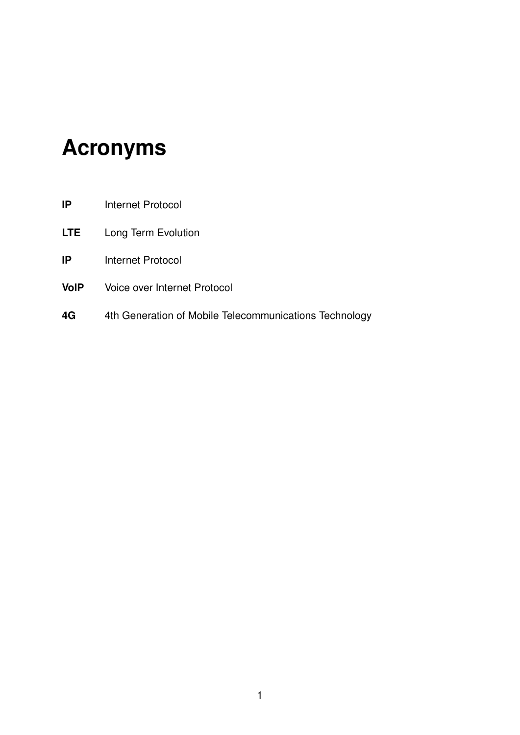## **Acronyms**

- <span id="page-3-2"></span>**IP** Internet Protocol
- <span id="page-3-0"></span>**LTE** Long Term Evolution
- **IP** Internet Protocol
- <span id="page-3-3"></span>**VoIP** Voice over Internet Protocol
- <span id="page-3-1"></span>**4G** 4th Generation of Mobile Telecommunications Technology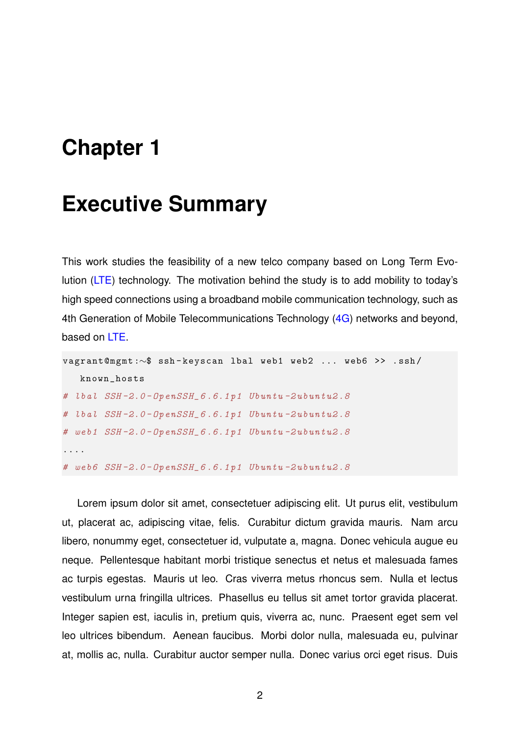### <span id="page-4-0"></span>**Chapter 1**

### **Executive Summary**

This work studies the feasibility of a new telco company based on Long Term Evolution [\(LTE\)](#page-3-0) technology. The motivation behind the study is to add mobility to today's high speed connections using a broadband mobile communication technology, such as 4th Generation of Mobile Telecommunications Technology [\(4G\)](#page-3-1) networks and beyond, based on [LTE.](#page-3-0)

```
vagrant@mgmt :∼$ ssh - keyscan lbal web1 web2 ... web6 >> . ssh /
   known_hosts
# lbal SSH -2.0 - OpenSSH_6 .6.1 p1 Ubuntu -2 ubuntu2 .8
# lbal SSH -2.0 - OpenSSH_6 .6.1 p1 Ubuntu -2 ubuntu2 .8
# web1 SSH -2.0 - OpenSSH_6 .6.1 p1 Ubuntu -2 ubuntu2 .8
....
# web6 SSH -2.0 - OpenSSH_6 .6.1 p1 Ubuntu -2 ubuntu2 .8
```
Lorem ipsum dolor sit amet, consectetuer adipiscing elit. Ut purus elit, vestibulum ut, placerat ac, adipiscing vitae, felis. Curabitur dictum gravida mauris. Nam arcu libero, nonummy eget, consectetuer id, vulputate a, magna. Donec vehicula augue eu neque. Pellentesque habitant morbi tristique senectus et netus et malesuada fames ac turpis egestas. Mauris ut leo. Cras viverra metus rhoncus sem. Nulla et lectus vestibulum urna fringilla ultrices. Phasellus eu tellus sit amet tortor gravida placerat. Integer sapien est, iaculis in, pretium quis, viverra ac, nunc. Praesent eget sem vel leo ultrices bibendum. Aenean faucibus. Morbi dolor nulla, malesuada eu, pulvinar at, mollis ac, nulla. Curabitur auctor semper nulla. Donec varius orci eget risus. Duis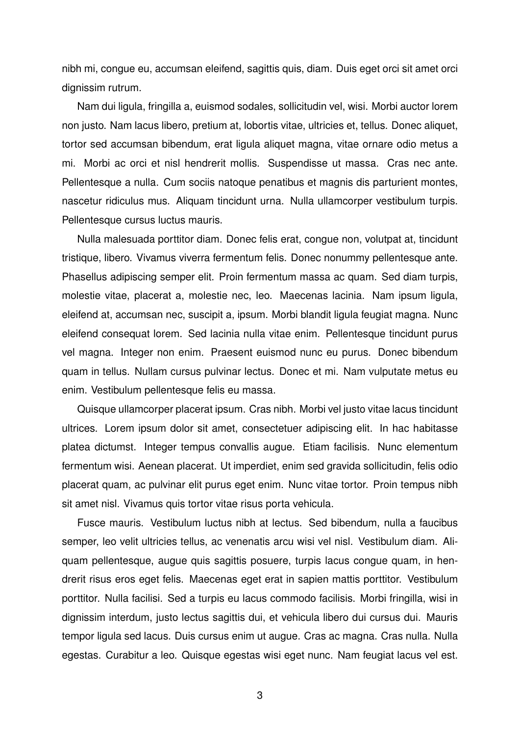nibh mi, congue eu, accumsan eleifend, sagittis quis, diam. Duis eget orci sit amet orci dignissim rutrum.

Nam dui ligula, fringilla a, euismod sodales, sollicitudin vel, wisi. Morbi auctor lorem non justo. Nam lacus libero, pretium at, lobortis vitae, ultricies et, tellus. Donec aliquet, tortor sed accumsan bibendum, erat ligula aliquet magna, vitae ornare odio metus a mi. Morbi ac orci et nisl hendrerit mollis. Suspendisse ut massa. Cras nec ante. Pellentesque a nulla. Cum sociis natoque penatibus et magnis dis parturient montes, nascetur ridiculus mus. Aliquam tincidunt urna. Nulla ullamcorper vestibulum turpis. Pellentesque cursus luctus mauris.

Nulla malesuada porttitor diam. Donec felis erat, congue non, volutpat at, tincidunt tristique, libero. Vivamus viverra fermentum felis. Donec nonummy pellentesque ante. Phasellus adipiscing semper elit. Proin fermentum massa ac quam. Sed diam turpis, molestie vitae, placerat a, molestie nec, leo. Maecenas lacinia. Nam ipsum ligula, eleifend at, accumsan nec, suscipit a, ipsum. Morbi blandit ligula feugiat magna. Nunc eleifend consequat lorem. Sed lacinia nulla vitae enim. Pellentesque tincidunt purus vel magna. Integer non enim. Praesent euismod nunc eu purus. Donec bibendum quam in tellus. Nullam cursus pulvinar lectus. Donec et mi. Nam vulputate metus eu enim. Vestibulum pellentesque felis eu massa.

Quisque ullamcorper placerat ipsum. Cras nibh. Morbi vel justo vitae lacus tincidunt ultrices. Lorem ipsum dolor sit amet, consectetuer adipiscing elit. In hac habitasse platea dictumst. Integer tempus convallis augue. Etiam facilisis. Nunc elementum fermentum wisi. Aenean placerat. Ut imperdiet, enim sed gravida sollicitudin, felis odio placerat quam, ac pulvinar elit purus eget enim. Nunc vitae tortor. Proin tempus nibh sit amet nisl. Vivamus quis tortor vitae risus porta vehicula.

Fusce mauris. Vestibulum luctus nibh at lectus. Sed bibendum, nulla a faucibus semper, leo velit ultricies tellus, ac venenatis arcu wisi vel nisl. Vestibulum diam. Aliquam pellentesque, augue quis sagittis posuere, turpis lacus congue quam, in hendrerit risus eros eget felis. Maecenas eget erat in sapien mattis porttitor. Vestibulum porttitor. Nulla facilisi. Sed a turpis eu lacus commodo facilisis. Morbi fringilla, wisi in dignissim interdum, justo lectus sagittis dui, et vehicula libero dui cursus dui. Mauris tempor ligula sed lacus. Duis cursus enim ut augue. Cras ac magna. Cras nulla. Nulla egestas. Curabitur a leo. Quisque egestas wisi eget nunc. Nam feugiat lacus vel est.

3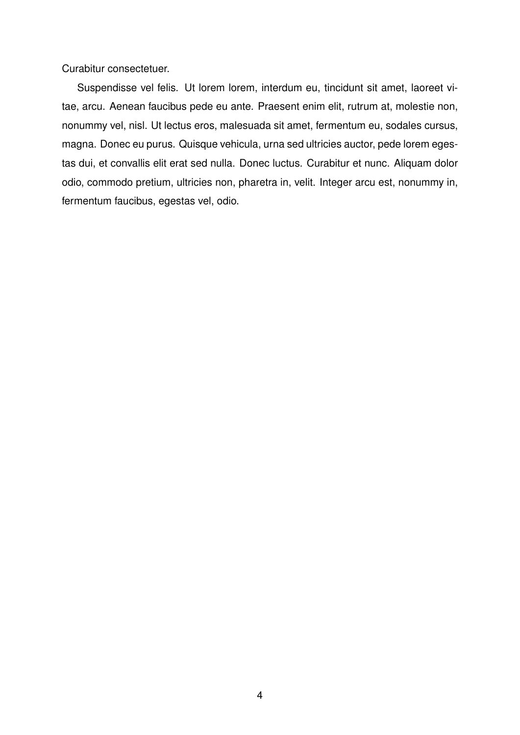Curabitur consectetuer.

Suspendisse vel felis. Ut lorem lorem, interdum eu, tincidunt sit amet, laoreet vitae, arcu. Aenean faucibus pede eu ante. Praesent enim elit, rutrum at, molestie non, nonummy vel, nisl. Ut lectus eros, malesuada sit amet, fermentum eu, sodales cursus, magna. Donec eu purus. Quisque vehicula, urna sed ultricies auctor, pede lorem egestas dui, et convallis elit erat sed nulla. Donec luctus. Curabitur et nunc. Aliquam dolor odio, commodo pretium, ultricies non, pharetra in, velit. Integer arcu est, nonummy in, fermentum faucibus, egestas vel, odio.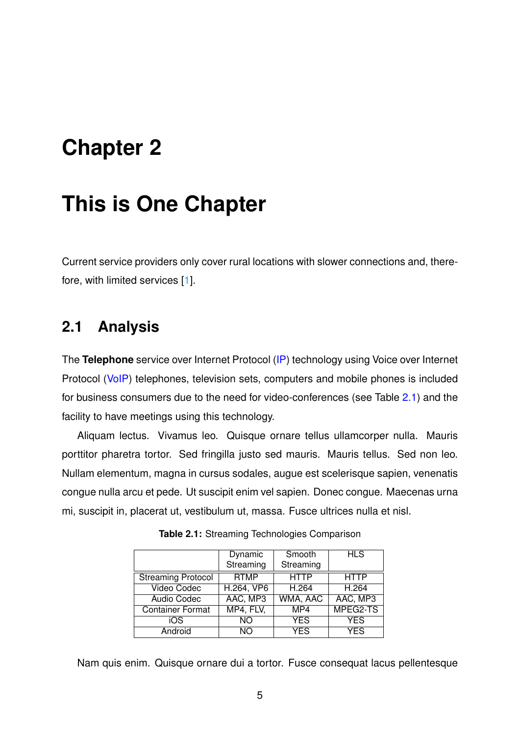## <span id="page-7-0"></span>**Chapter 2**

## **This is One Chapter**

Current service providers only cover rural locations with slower connections and, therefore, with limited services [\[1\]](#page-15-1).

### <span id="page-7-1"></span>**2.1 Analysis**

The **Telephone** service over Internet Protocol [\(IP\)](#page-3-2) technology using Voice over Internet Protocol [\(VoIP\)](#page-3-3) telephones, television sets, computers and mobile phones is included for business consumers due to the need for video-conferences (see Table [2.1\)](#page-7-2) and the facility to have meetings using this technology.

Aliquam lectus. Vivamus leo. Quisque ornare tellus ullamcorper nulla. Mauris porttitor pharetra tortor. Sed fringilla justo sed mauris. Mauris tellus. Sed non leo. Nullam elementum, magna in cursus sodales, augue est scelerisque sapien, venenatis congue nulla arcu et pede. Ut suscipit enim vel sapien. Donec congue. Maecenas urna mi, suscipit in, placerat ut, vestibulum ut, massa. Fusce ultrices nulla et nisl.

<span id="page-7-2"></span>

|                           | Dynamic     | Smooth      | <b>HLS</b>  |
|---------------------------|-------------|-------------|-------------|
|                           | Streaming   | Streaming   |             |
| <b>Streaming Protocol</b> | <b>RTMP</b> | <b>HTTP</b> | <b>HTTP</b> |
| <b>Video Codec</b>        | H.264, VP6  | H.264       | H.264       |
| <b>Audio Codec</b>        | AAC, MP3    | WMA, AAC    | AAC, MP3    |
| <b>Container Format</b>   | MP4, FLV,   | MP4         | MPEG2-TS    |
| iOS                       | <b>NO</b>   | <b>YES</b>  | <b>YES</b>  |
| Android                   | NΟ          | <b>YES</b>  | <b>YES</b>  |

**Table 2.1:** Streaming Technologies Comparison

Nam quis enim. Quisque ornare dui a tortor. Fusce consequat lacus pellentesque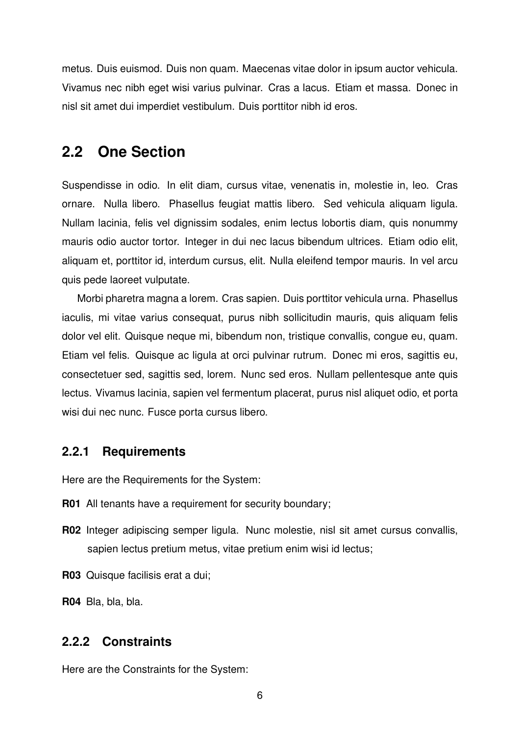metus. Duis euismod. Duis non quam. Maecenas vitae dolor in ipsum auctor vehicula. Vivamus nec nibh eget wisi varius pulvinar. Cras a lacus. Etiam et massa. Donec in nisl sit amet dui imperdiet vestibulum. Duis porttitor nibh id eros.

#### <span id="page-8-0"></span>**2.2 One Section**

Suspendisse in odio. In elit diam, cursus vitae, venenatis in, molestie in, leo. Cras ornare. Nulla libero. Phasellus feugiat mattis libero. Sed vehicula aliquam ligula. Nullam lacinia, felis vel dignissim sodales, enim lectus lobortis diam, quis nonummy mauris odio auctor tortor. Integer in dui nec lacus bibendum ultrices. Etiam odio elit, aliquam et, porttitor id, interdum cursus, elit. Nulla eleifend tempor mauris. In vel arcu quis pede laoreet vulputate.

Morbi pharetra magna a lorem. Cras sapien. Duis porttitor vehicula urna. Phasellus iaculis, mi vitae varius consequat, purus nibh sollicitudin mauris, quis aliquam felis dolor vel elit. Quisque neque mi, bibendum non, tristique convallis, congue eu, quam. Etiam vel felis. Quisque ac ligula at orci pulvinar rutrum. Donec mi eros, sagittis eu, consectetuer sed, sagittis sed, lorem. Nunc sed eros. Nullam pellentesque ante quis lectus. Vivamus lacinia, sapien vel fermentum placerat, purus nisl aliquet odio, et porta wisi dui nec nunc. Fusce porta cursus libero.

#### <span id="page-8-1"></span>**2.2.1 Requirements**

Here are the Requirements for the System:

- **R01** All tenants have a requirement for security boundary;
- **R02** Integer adipiscing semper ligula. Nunc molestie, nisl sit amet cursus convallis, sapien lectus pretium metus, vitae pretium enim wisi id lectus;
- **R03** Quisque facilisis erat a dui;

**R04** Bla, bla, bla.

#### <span id="page-8-2"></span>**2.2.2 Constraints**

Here are the Constraints for the System:

6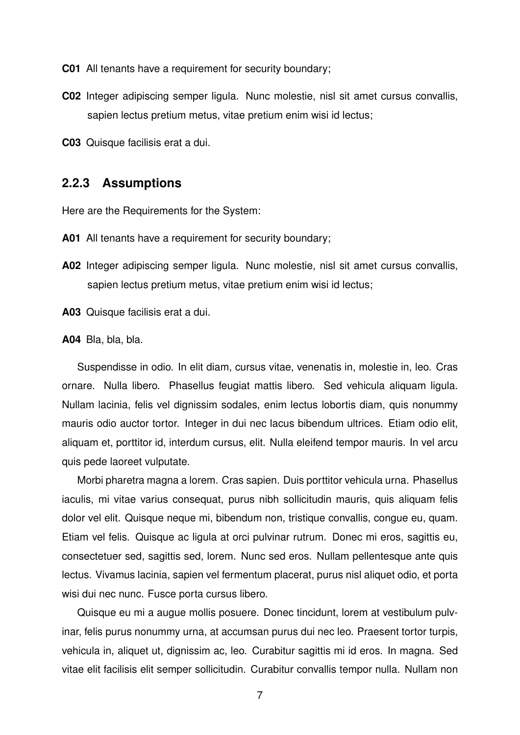**C01** All tenants have a requirement for security boundary;

- **C02** Integer adipiscing semper ligula. Nunc molestie, nisl sit amet cursus convallis, sapien lectus pretium metus, vitae pretium enim wisi id lectus;
- **C03** Quisque facilisis erat a dui.

#### <span id="page-9-0"></span>**2.2.3 Assumptions**

Here are the Requirements for the System:

- **A01** All tenants have a requirement for security boundary;
- **A02** Integer adipiscing semper ligula. Nunc molestie, nisl sit amet cursus convallis, sapien lectus pretium metus, vitae pretium enim wisi id lectus;

**A03** Quisque facilisis erat a dui.

**A04** Bla, bla, bla.

Suspendisse in odio. In elit diam, cursus vitae, venenatis in, molestie in, leo. Cras ornare. Nulla libero. Phasellus feugiat mattis libero. Sed vehicula aliquam ligula. Nullam lacinia, felis vel dignissim sodales, enim lectus lobortis diam, quis nonummy mauris odio auctor tortor. Integer in dui nec lacus bibendum ultrices. Etiam odio elit, aliquam et, porttitor id, interdum cursus, elit. Nulla eleifend tempor mauris. In vel arcu quis pede laoreet vulputate.

Morbi pharetra magna a lorem. Cras sapien. Duis porttitor vehicula urna. Phasellus iaculis, mi vitae varius consequat, purus nibh sollicitudin mauris, quis aliquam felis dolor vel elit. Quisque neque mi, bibendum non, tristique convallis, congue eu, quam. Etiam vel felis. Quisque ac ligula at orci pulvinar rutrum. Donec mi eros, sagittis eu, consectetuer sed, sagittis sed, lorem. Nunc sed eros. Nullam pellentesque ante quis lectus. Vivamus lacinia, sapien vel fermentum placerat, purus nisl aliquet odio, et porta wisi dui nec nunc. Fusce porta cursus libero.

Quisque eu mi a augue mollis posuere. Donec tincidunt, lorem at vestibulum pulvinar, felis purus nonummy urna, at accumsan purus dui nec leo. Praesent tortor turpis, vehicula in, aliquet ut, dignissim ac, leo. Curabitur sagittis mi id eros. In magna. Sed vitae elit facilisis elit semper sollicitudin. Curabitur convallis tempor nulla. Nullam non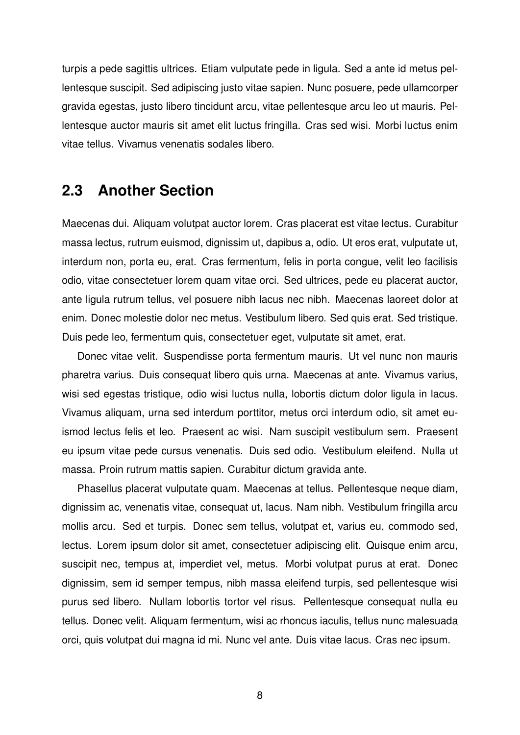turpis a pede sagittis ultrices. Etiam vulputate pede in ligula. Sed a ante id metus pellentesque suscipit. Sed adipiscing justo vitae sapien. Nunc posuere, pede ullamcorper gravida egestas, justo libero tincidunt arcu, vitae pellentesque arcu leo ut mauris. Pellentesque auctor mauris sit amet elit luctus fringilla. Cras sed wisi. Morbi luctus enim vitae tellus. Vivamus venenatis sodales libero.

#### <span id="page-10-0"></span>**2.3 Another Section**

Maecenas dui. Aliquam volutpat auctor lorem. Cras placerat est vitae lectus. Curabitur massa lectus, rutrum euismod, dignissim ut, dapibus a, odio. Ut eros erat, vulputate ut, interdum non, porta eu, erat. Cras fermentum, felis in porta congue, velit leo facilisis odio, vitae consectetuer lorem quam vitae orci. Sed ultrices, pede eu placerat auctor, ante ligula rutrum tellus, vel posuere nibh lacus nec nibh. Maecenas laoreet dolor at enim. Donec molestie dolor nec metus. Vestibulum libero. Sed quis erat. Sed tristique. Duis pede leo, fermentum quis, consectetuer eget, vulputate sit amet, erat.

Donec vitae velit. Suspendisse porta fermentum mauris. Ut vel nunc non mauris pharetra varius. Duis consequat libero quis urna. Maecenas at ante. Vivamus varius, wisi sed egestas tristique, odio wisi luctus nulla, lobortis dictum dolor ligula in lacus. Vivamus aliquam, urna sed interdum porttitor, metus orci interdum odio, sit amet euismod lectus felis et leo. Praesent ac wisi. Nam suscipit vestibulum sem. Praesent eu ipsum vitae pede cursus venenatis. Duis sed odio. Vestibulum eleifend. Nulla ut massa. Proin rutrum mattis sapien. Curabitur dictum gravida ante.

Phasellus placerat vulputate quam. Maecenas at tellus. Pellentesque neque diam, dignissim ac, venenatis vitae, consequat ut, lacus. Nam nibh. Vestibulum fringilla arcu mollis arcu. Sed et turpis. Donec sem tellus, volutpat et, varius eu, commodo sed, lectus. Lorem ipsum dolor sit amet, consectetuer adipiscing elit. Quisque enim arcu, suscipit nec, tempus at, imperdiet vel, metus. Morbi volutpat purus at erat. Donec dignissim, sem id semper tempus, nibh massa eleifend turpis, sed pellentesque wisi purus sed libero. Nullam lobortis tortor vel risus. Pellentesque consequat nulla eu tellus. Donec velit. Aliquam fermentum, wisi ac rhoncus iaculis, tellus nunc malesuada orci, quis volutpat dui magna id mi. Nunc vel ante. Duis vitae lacus. Cras nec ipsum.

8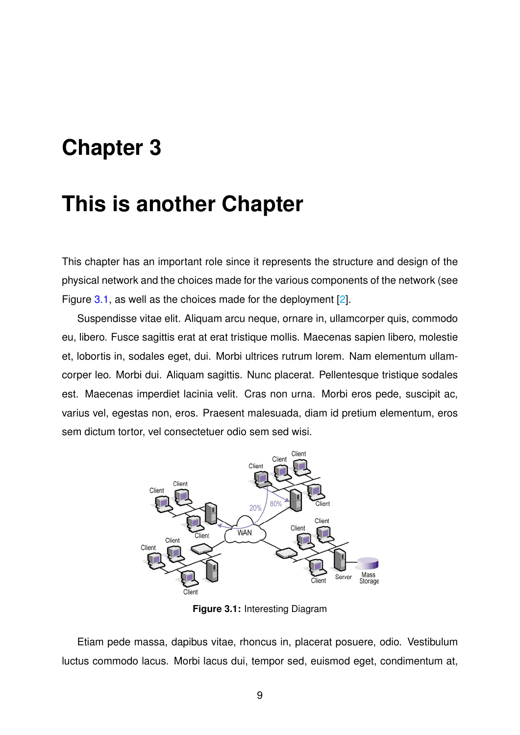## <span id="page-11-0"></span>**Chapter 3**

### **This is another Chapter**

This chapter has an important role since it represents the structure and design of the physical network and the choices made for the various components of the network (see Figure [3.1,](#page-11-1) as well as the choices made for the deployment [\[2\]](#page-15-2).

Suspendisse vitae elit. Aliquam arcu neque, ornare in, ullamcorper quis, commodo eu, libero. Fusce sagittis erat at erat tristique mollis. Maecenas sapien libero, molestie et, lobortis in, sodales eget, dui. Morbi ultrices rutrum lorem. Nam elementum ullamcorper leo. Morbi dui. Aliquam sagittis. Nunc placerat. Pellentesque tristique sodales est. Maecenas imperdiet lacinia velit. Cras non urna. Morbi eros pede, suscipit ac, varius vel, egestas non, eros. Praesent malesuada, diam id pretium elementum, eros sem dictum tortor, vel consectetuer odio sem sed wisi.

<span id="page-11-1"></span>

**Figure 3.1:** Interesting Diagram

Etiam pede massa, dapibus vitae, rhoncus in, placerat posuere, odio. Vestibulum luctus commodo lacus. Morbi lacus dui, tempor sed, euismod eget, condimentum at,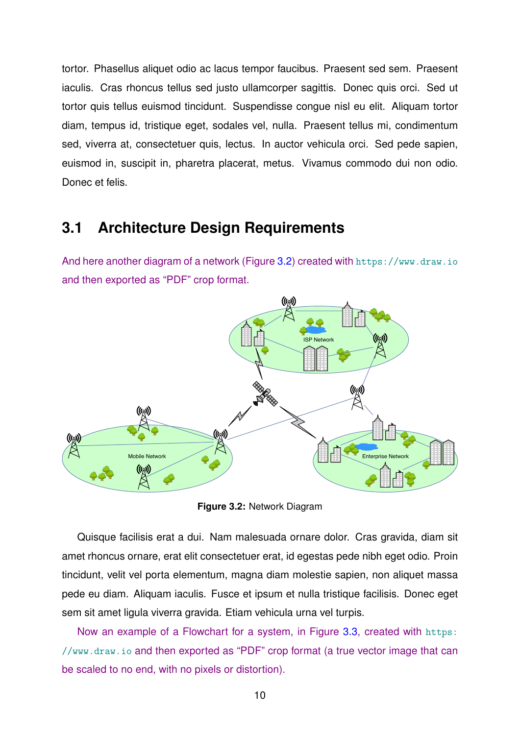tortor. Phasellus aliquet odio ac lacus tempor faucibus. Praesent sed sem. Praesent iaculis. Cras rhoncus tellus sed justo ullamcorper sagittis. Donec quis orci. Sed ut tortor quis tellus euismod tincidunt. Suspendisse congue nisl eu elit. Aliquam tortor diam, tempus id, tristique eget, sodales vel, nulla. Praesent tellus mi, condimentum sed, viverra at, consectetuer quis, lectus. In auctor vehicula orci. Sed pede sapien, euismod in, suscipit in, pharetra placerat, metus. Vivamus commodo dui non odio. Donec et felis.

#### <span id="page-12-0"></span>**3.1 Architecture Design Requirements**

And here another diagram of a network (Figure [3.2\)](#page-12-1) created with <https://www.draw.io> and then exported as "PDF" crop format.

<span id="page-12-1"></span>

**Figure 3.2:** Network Diagram

Quisque facilisis erat a dui. Nam malesuada ornare dolor. Cras gravida, diam sit amet rhoncus ornare, erat elit consectetuer erat, id egestas pede nibh eget odio. Proin tincidunt, velit vel porta elementum, magna diam molestie sapien, non aliquet massa pede eu diam. Aliquam iaculis. Fusce et ipsum et nulla tristique facilisis. Donec eget sem sit amet ligula viverra gravida. Etiam vehicula urna vel turpis.

Now an example of a Flowchart for a system, in Figure [3.3,](#page-13-0) created with [https:](https://www.draw.io) [//www.draw.io](https://www.draw.io) and then exported as "PDF" crop format (a true vector image that can be scaled to no end, with no pixels or distortion).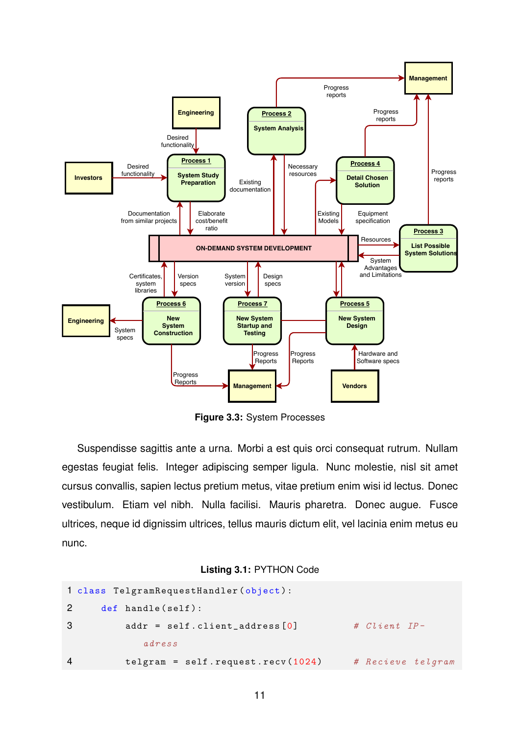<span id="page-13-0"></span>

**Figure 3.3:** System Processes

Suspendisse sagittis ante a urna. Morbi a est quis orci consequat rutrum. Nullam egestas feugiat felis. Integer adipiscing semper ligula. Nunc molestie, nisl sit amet cursus convallis, sapien lectus pretium metus, vitae pretium enim wisi id lectus. Donec vestibulum. Etiam vel nibh. Nulla facilisi. Mauris pharetra. Donec augue. Fusce ultrices, neque id dignissim ultrices, tellus mauris dictum elit, vel lacinia enim metus eu nunc.

#### **Listing 3.1:** PYTHON Code

```
1 class TelgramRequestHandler ( object ) :
2 def handle (self):
3 addr = self.client_address [0] # Client IP-
           adress
4 telgram = self.request.recv(1024) # Recieve telgram
```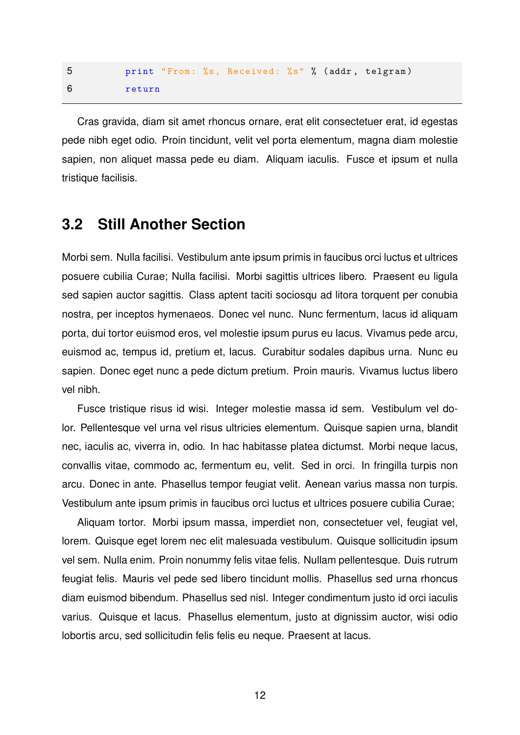|        |  | print "From: %s, Received: %s" % (addr, telgram) |  |  |
|--------|--|--------------------------------------------------|--|--|
| return |  |                                                  |  |  |

Cras gravida, diam sit amet rhoncus ornare, erat elit consectetuer erat, id egestas pede nibh eget odio. Proin tincidunt, velit vel porta elementum, magna diam molestie sapien, non aliquet massa pede eu diam. Aliquam iaculis. Fusce et ipsum et nulla tristique facilisis.

#### <span id="page-14-0"></span>**3.2 Still Another Section**

Morbi sem. Nulla facilisi. Vestibulum ante ipsum primis in faucibus orci luctus et ultrices posuere cubilia Curae; Nulla facilisi. Morbi sagittis ultrices libero. Praesent eu ligula sed sapien auctor sagittis. Class aptent taciti sociosqu ad litora torquent per conubia nostra, per inceptos hymenaeos. Donec vel nunc. Nunc fermentum, lacus id aliquam porta, dui tortor euismod eros, vel molestie ipsum purus eu lacus. Vivamus pede arcu, euismod ac, tempus id, pretium et, lacus. Curabitur sodales dapibus urna. Nunc eu sapien. Donec eget nunc a pede dictum pretium. Proin mauris. Vivamus luctus libero vel nibh.

Fusce tristique risus id wisi. Integer molestie massa id sem. Vestibulum vel dolor. Pellentesque vel urna vel risus ultricies elementum. Quisque sapien urna, blandit nec, iaculis ac, viverra in, odio. In hac habitasse platea dictumst. Morbi neque lacus, convallis vitae, commodo ac, fermentum eu, velit. Sed in orci. In fringilla turpis non arcu. Donec in ante. Phasellus tempor feugiat velit. Aenean varius massa non turpis. Vestibulum ante ipsum primis in faucibus orci luctus et ultrices posuere cubilia Curae;

Aliquam tortor. Morbi ipsum massa, imperdiet non, consectetuer vel, feugiat vel, lorem. Quisque eget lorem nec elit malesuada vestibulum. Quisque sollicitudin ipsum vel sem. Nulla enim. Proin nonummy felis vitae felis. Nullam pellentesque. Duis rutrum feugiat felis. Mauris vel pede sed libero tincidunt mollis. Phasellus sed urna rhoncus diam euismod bibendum. Phasellus sed nisl. Integer condimentum justo id orci iaculis varius. Quisque et lacus. Phasellus elementum, justo at dignissim auctor, wisi odio lobortis arcu, sed sollicitudin felis felis eu neque. Praesent at lacus.